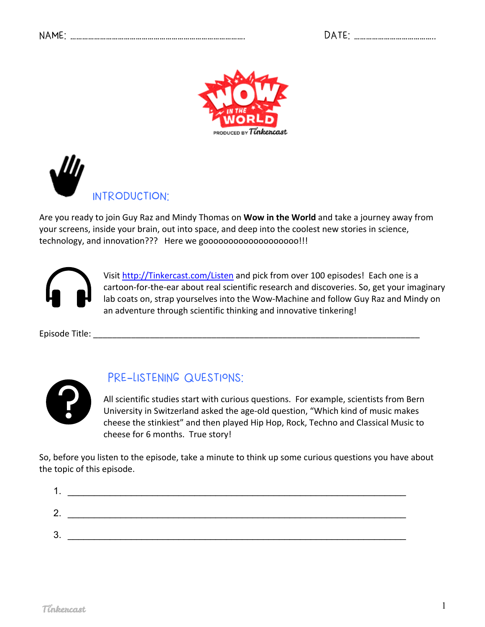| DATE: |  |
|-------|--|
|-------|--|





Are you ready to join Guy Raz and Mindy Thomas on **Wow in the World** and take a journey away from your screens, inside your brain, out into space, and deep into the coolest new stories in science, technology, and innovation??? Here we gooooooooooooooooooo!!!



Visit http://Tinkercast.com/Listen and pick from over 100 episodes! Each one is a cartoon-for-the-ear about real scientific research and discoveries. So, get your imaginary lab coats on, strap yourselves into the Wow-Machine and follow Guy Raz and Mindy on an adventure through scientific thinking and innovative tinkering!

Episode Title: \_\_\_\_\_\_\_\_\_\_\_\_\_\_\_\_\_\_\_\_\_\_\_\_\_\_\_\_\_\_\_\_\_\_\_\_\_\_\_\_\_\_\_\_\_\_\_\_\_\_\_\_\_\_\_\_\_\_\_\_\_\_\_\_\_\_\_\_\_



## PRE-LISTENING QUESTIONS:

All scientific studies start with curious questions. For example, scientists from Bern University in Switzerland asked the age-old question, "Which kind of music makes cheese the stinkiest" and then played Hip Hop, Rock, Techno and Classical Music to cheese for 6 months. True story!

So, before you listen to the episode, take a minute to think up some curious questions you have about the topic of this episode.

| ◠<br><u>.</u> |  |
|---------------|--|
| ◠<br>ື        |  |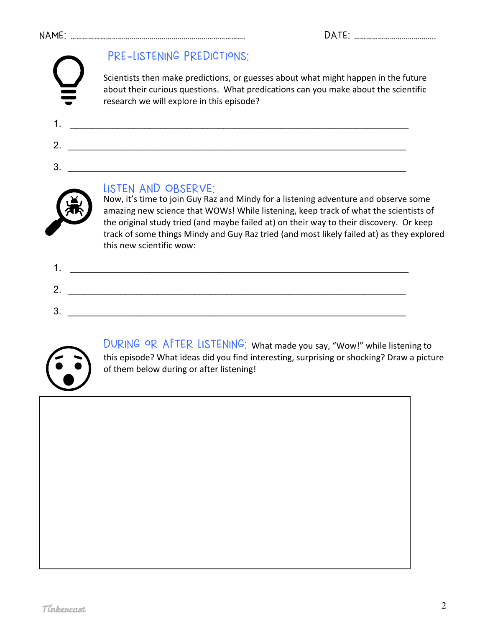## NAME: ……………………………………………………………………………. DATE: …………………………………..

# PRE-LISTENING PREDICTIONS:

Scientists then make predictions, or guesses about what might happen in the future about their curious questions. What predications can you make about the scientific research we will explore in this episode?

1. \_\_\_\_\_\_\_\_\_\_\_\_\_\_\_\_\_\_\_\_\_\_\_\_\_\_\_\_\_\_\_\_\_\_\_\_\_\_\_\_\_\_\_\_\_\_\_\_\_\_\_\_\_\_\_\_\_\_\_\_\_\_\_\_

2. \_\_\_\_\_\_\_\_\_\_\_\_\_\_\_\_\_\_\_\_\_\_\_\_\_\_\_\_\_\_\_\_\_\_\_\_\_\_\_\_\_\_\_\_\_\_\_\_\_\_\_\_\_\_\_\_\_\_\_\_\_\_\_\_

3. \_\_\_\_\_\_\_\_\_\_\_\_\_\_\_\_\_\_\_\_\_\_\_\_\_\_\_\_\_\_\_\_\_\_\_\_\_\_\_\_\_\_\_\_\_\_\_\_\_\_\_\_\_\_\_\_\_\_\_\_\_\_\_\_

LISTEN AND OBSERVE:<br>Now, it's time to join Guy Raz and Mindy for a listening adventure and observe some amazing new science that WOWs! While listening, keep track of what the scientists of the original study tried (and maybe failed at) on their way to their discovery. Or keep track of some things Mindy and Guy Raz tried (and most likely failed at) as they explored this new scientific wow:



DURING OR AFTER LISTENING: What made you say, "Wow!" while listening to this episode? What ideas did you find interesting, surprising or shocking? Draw a picture of them below during or after listening!